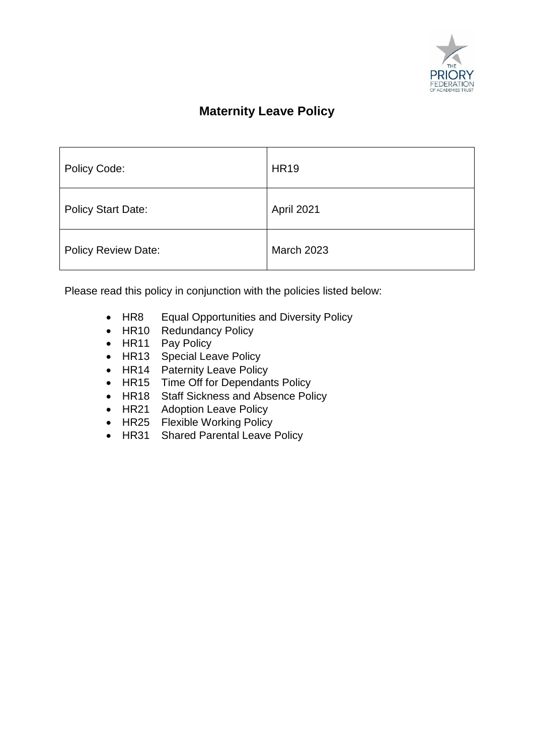

# **Maternity Leave Policy**

| Policy Code:               | <b>HR19</b>       |
|----------------------------|-------------------|
| <b>Policy Start Date:</b>  | April 2021        |
| <b>Policy Review Date:</b> | <b>March 2023</b> |

Please read this policy in conjunction with the policies listed below:

- HR8 Equal Opportunities and Diversity Policy
- HR10 Redundancy Policy
- HR11 Pay Policy
- HR13 Special Leave Policy
- HR14 Paternity Leave Policy
- HR15 Time Off for Dependants Policy
- HR18 Staff Sickness and Absence Policy
- HR21 Adoption Leave Policy
- HR25 Flexible Working Policy
- HR31 Shared Parental Leave Policy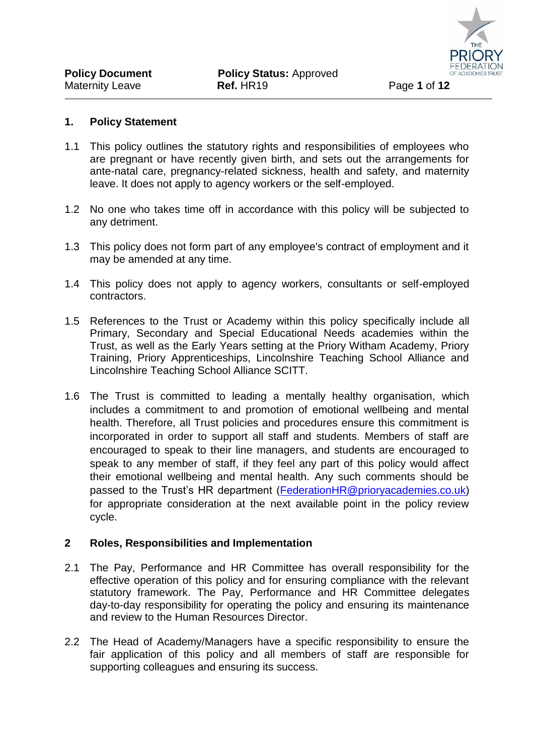

#### **1. Policy Statement**

- 1.1 This policy outlines the statutory rights and responsibilities of employees who are pregnant or have recently given birth, and sets out the arrangements for ante-natal care, pregnancy-related sickness, health and safety, and maternity leave. It does not apply to agency workers or the self-employed.
- 1.2 No one who takes time off in accordance with this policy will be subjected to any detriment.
- 1.3 This policy does not form part of any employee's contract of employment and it may be amended at any time.
- 1.4 This policy does not apply to agency workers, consultants or self-employed contractors.
- 1.5 References to the Trust or Academy within this policy specifically include all Primary, Secondary and Special Educational Needs academies within the Trust, as well as the Early Years setting at the Priory Witham Academy, Priory Training, Priory Apprenticeships, Lincolnshire Teaching School Alliance and Lincolnshire Teaching School Alliance SCITT.
- 1.6 The Trust is committed to leading a mentally healthy organisation, which includes a commitment to and promotion of emotional wellbeing and mental health. Therefore, all Trust policies and procedures ensure this commitment is incorporated in order to support all staff and students. Members of staff are encouraged to speak to their line managers, and students are encouraged to speak to any member of staff, if they feel any part of this policy would affect their emotional wellbeing and mental health. Any such comments should be passed to the Trust's HR department [\(FederationHR@prioryacademies.co.uk\)](mailto:FederationHR@prioryacademies.co.uk) for appropriate consideration at the next available point in the policy review cycle.

#### **2 Roles, Responsibilities and Implementation**

- 2.1 The Pay, Performance and HR Committee has overall responsibility for the effective operation of this policy and for ensuring compliance with the relevant statutory framework. The Pay, Performance and HR Committee delegates day-to-day responsibility for operating the policy and ensuring its maintenance and review to the Human Resources Director.
- 2.2 The Head of Academy/Managers have a specific responsibility to ensure the fair application of this policy and all members of staff are responsible for supporting colleagues and ensuring its success.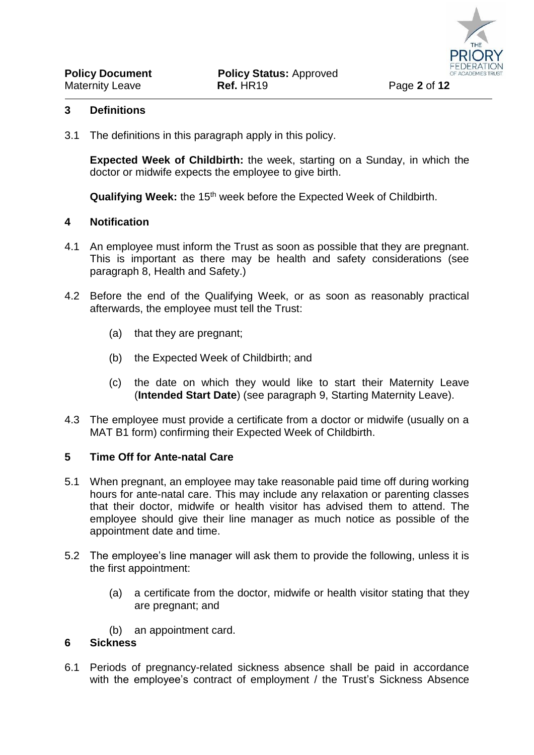#### **3 Definitions**

3.1 The definitions in this paragraph apply in this policy.

**Expected Week of Childbirth:** the week, starting on a Sunday, in which the doctor or midwife expects the employee to give birth.

**Qualifying Week:** the 15th week before the Expected Week of Childbirth.

#### <span id="page-2-0"></span>**4 Notification**

- 4.1 An employee must inform the Trust as soon as possible that they are pregnant. This is important as there may be health and safety considerations (see paragraph 8, Health and Safety.)
- 4.2 Before the end of the Qualifying Week, or as soon as reasonably practical afterwards, the employee must tell the Trust:
	- (a) that they are pregnant;
	- (b) the Expected Week of Childbirth; and
	- (c) the date on which they would like to start their Maternity Leave (**Intended Start Date**) (see paragraph [9,](#page-4-0) Starting Maternity Leave).
- 4.3 The employee must provide a certificate from a doctor or midwife (usually on a MAT B1 form) confirming their Expected Week of Childbirth.

#### **5 Time Off for Ante-natal Care**

- 5.1 When pregnant, an employee may take reasonable paid time off during working hours for ante-natal care. This may include any relaxation or parenting classes that their doctor, midwife or health visitor has advised them to attend. The employee should give their line manager as much notice as possible of the appointment date and time.
- 5.2 The employee's line manager will ask them to provide the following, unless it is the first appointment:
	- (a) a certificate from the doctor, midwife or health visitor stating that they are pregnant; and
	- (b) an appointment card.

#### **6 Sickness**

6.1 Periods of pregnancy-related sickness absence shall be paid in accordance with the employee's contract of employment / the Trust's Sickness Absence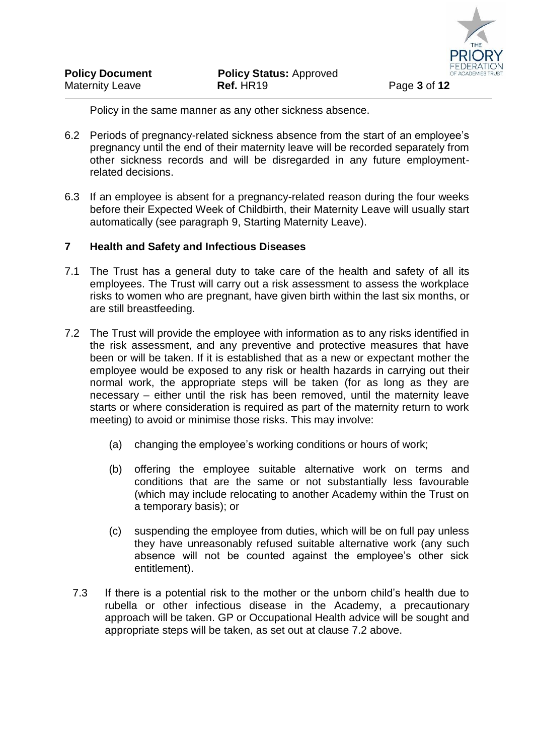

Policy in the same manner as any other sickness absence.

- 6.2 Periods of pregnancy-related sickness absence from the start of an employee's pregnancy until the end of their maternity leave will be recorded separately from other sickness records and will be disregarded in any future employmentrelated decisions.
- 6.3 If an employee is absent for a pregnancy-related reason during the four weeks before their Expected Week of Childbirth, their Maternity Leave will usually start automatically (see paragraph [9,](#page-4-0) Starting Maternity Leave).

# **7 Health and Safety and Infectious Diseases**

- 7.1 The Trust has a general duty to take care of the health and safety of all its employees. The Trust will carry out a risk assessment to assess the workplace risks to women who are pregnant, have given birth within the last six months, or are still breastfeeding.
- 7.2 The Trust will provide the employee with information as to any risks identified in the risk assessment, and any preventive and protective measures that have been or will be taken. If it is established that as a new or expectant mother the employee would be exposed to any risk or health hazards in carrying out their normal work, the appropriate steps will be taken (for as long as they are necessary – either until the risk has been removed, until the maternity leave starts or where consideration is required as part of the maternity return to work meeting) to avoid or minimise those risks. This may involve:
	- (a) changing the employee's working conditions or hours of work;
	- (b) offering the employee suitable alternative work on terms and conditions that are the same or not substantially less favourable (which may include relocating to another Academy within the Trust on a temporary basis); or
	- (c) suspending the employee from duties, which will be on full pay unless they have unreasonably refused suitable alternative work (any such absence will not be counted against the employee's other sick entitlement).
	- 7.3 If there is a potential risk to the mother or the unborn child's health due to rubella or other infectious disease in the Academy, a precautionary approach will be taken. GP or Occupational Health advice will be sought and appropriate steps will be taken, as set out at clause 7.2 above.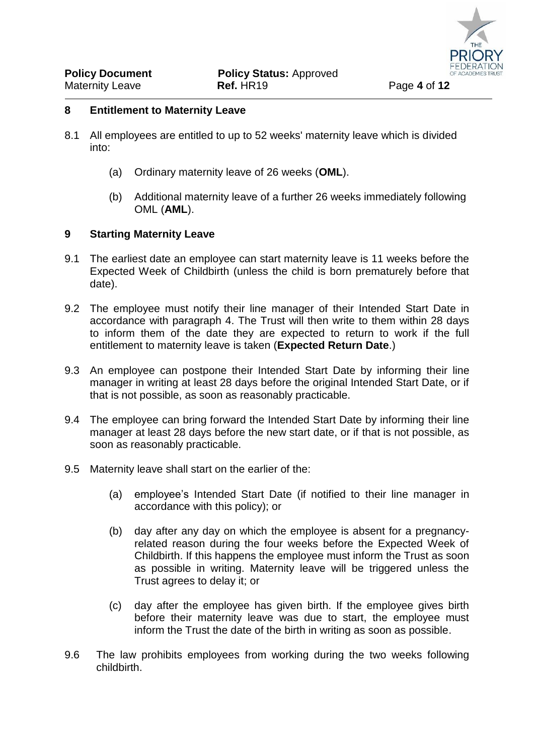#### **8 Entitlement to Maternity Leave**

- 8.1 All employees are entitled to up to 52 weeks' maternity leave which is divided into:
	- (a) Ordinary maternity leave of 26 weeks (**OML**).
	- (b) Additional maternity leave of a further 26 weeks immediately following OML (**AML**).

# <span id="page-4-0"></span>**9 Starting Maternity Leave**

- 9.1 The earliest date an employee can start maternity leave is 11 weeks before the Expected Week of Childbirth (unless the child is born prematurely before that date).
- 9.2 The employee must notify their line manager of their Intended Start Date in accordance with paragraph [4.](#page-2-0) The Trust will then write to them within 28 days to inform them of the date they are expected to return to work if the full entitlement to maternity leave is taken (**Expected Return Date**.)
- 9.3 An employee can postpone their Intended Start Date by informing their line manager in writing at least 28 days before the original Intended Start Date, or if that is not possible, as soon as reasonably practicable.
- 9.4 The employee can bring forward the Intended Start Date by informing their line manager at least 28 days before the new start date, or if that is not possible, as soon as reasonably practicable.
- 9.5 Maternity leave shall start on the earlier of the:
	- (a) employee's Intended Start Date (if notified to their line manager in accordance with this policy); or
	- (b) day after any day on which the employee is absent for a pregnancyrelated reason during the four weeks before the Expected Week of Childbirth. If this happens the employee must inform the Trust as soon as possible in writing. Maternity leave will be triggered unless the Trust agrees to delay it; or
	- (c) day after the employee has given birth. If the employee gives birth before their maternity leave was due to start, the employee must inform the Trust the date of the birth in writing as soon as possible.
- 9.6 The law prohibits employees from working during the two weeks following childbirth.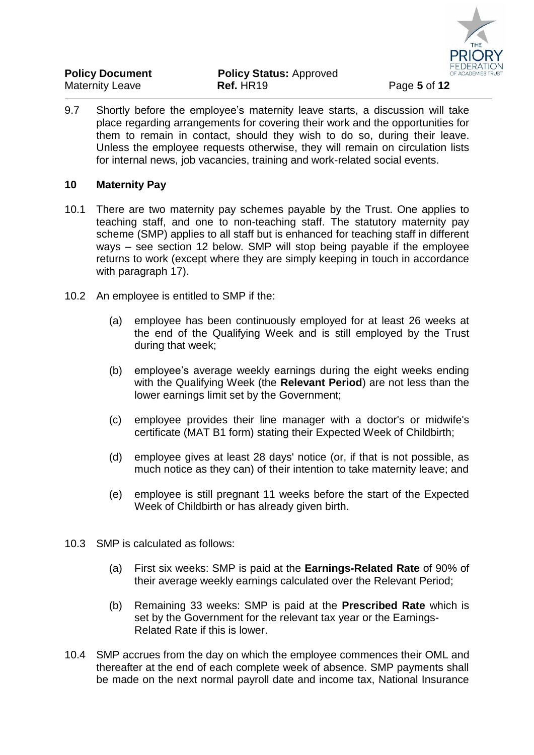

| <b>Policy Document</b> | <b>Policy Status: Approved</b> |              |
|------------------------|--------------------------------|--------------|
| <b>Maternity Leave</b> | Ref. HR19                      | Page 5 of 12 |

9.7 Shortly before the employee's maternity leave starts, a discussion will take place regarding arrangements for covering their work and the opportunities for them to remain in contact, should they wish to do so, during their leave. Unless the employee requests otherwise, they will remain on circulation lists for internal news, job vacancies, training and work-related social events.

#### **10 Maternity Pay**

- 10.1 There are two maternity pay schemes payable by the Trust. One applies to teaching staff, and one to non-teaching staff. The statutory maternity pay scheme (SMP) applies to all staff but is enhanced for teaching staff in different ways – see section 12 below. SMP will stop being payable if the employee returns to work (except where they are simply keeping in touch in accordance with paragraph [17\)](#page-8-0).
- 10.2 An employee is entitled to SMP if the:
	- (a) employee has been continuously employed for at least 26 weeks at the end of the Qualifying Week and is still employed by the Trust during that week;
	- (b) employee's average weekly earnings during the eight weeks ending with the Qualifying Week (the **Relevant Period**) are not less than the lower earnings limit set by the Government;
	- (c) employee provides their line manager with a doctor's or midwife's certificate (MAT B1 form) stating their Expected Week of Childbirth;
	- (d) employee gives at least 28 days' notice (or, if that is not possible, as much notice as they can) of their intention to take maternity leave; and
	- (e) employee is still pregnant 11 weeks before the start of the Expected Week of Childbirth or has already given birth.
- 10.3 SMP is calculated as follows:
	- (a) First six weeks: SMP is paid at the **Earnings-Related Rate** of 90% of their average weekly earnings calculated over the Relevant Period;
	- (b) Remaining 33 weeks: SMP is paid at the **Prescribed Rate** which is set by the Government for the relevant tax year or the Earnings-Related Rate if this is lower.
- 10.4 SMP accrues from the day on which the employee commences their OML and thereafter at the end of each complete week of absence. SMP payments shall be made on the next normal payroll date and income tax, National Insurance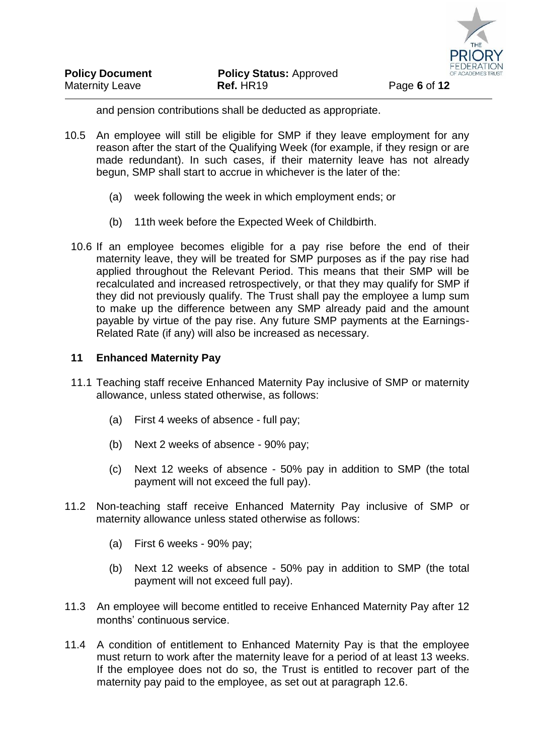

and pension contributions shall be deducted as appropriate.

- 10.5 An employee will still be eligible for SMP if they leave employment for any reason after the start of the Qualifying Week (for example, if they resign or are made redundant). In such cases, if their maternity leave has not already begun, SMP shall start to accrue in whichever is the later of the:
	- (a) week following the week in which employment ends; or
	- (b) 11th week before the Expected Week of Childbirth.
	- 10.6 If an employee becomes eligible for a pay rise before the end of their maternity leave, they will be treated for SMP purposes as if the pay rise had applied throughout the Relevant Period. This means that their SMP will be recalculated and increased retrospectively, or that they may qualify for SMP if they did not previously qualify. The Trust shall pay the employee a lump sum to make up the difference between any SMP already paid and the amount payable by virtue of the pay rise. Any future SMP payments at the Earnings-Related Rate (if any) will also be increased as necessary.

#### **11 Enhanced Maternity Pay**

- 11.1 Teaching staff receive Enhanced Maternity Pay inclusive of SMP or maternity allowance, unless stated otherwise, as follows:
	- (a) First 4 weeks of absence full pay;
	- (b) Next 2 weeks of absence 90% pay;
	- (c) Next 12 weeks of absence 50% pay in addition to SMP (the total payment will not exceed the full pay).
- 11.2 Non-teaching staff receive Enhanced Maternity Pay inclusive of SMP or maternity allowance unless stated otherwise as follows:
	- (a) First 6 weeks 90% pay;
	- (b) Next 12 weeks of absence 50% pay in addition to SMP (the total payment will not exceed full pay).
- 11.3 An employee will become entitled to receive Enhanced Maternity Pay after 12 months' continuous service.
- 11.4 A condition of entitlement to Enhanced Maternity Pay is that the employee must return to work after the maternity leave for a period of at least 13 weeks. If the employee does not do so, the Trust is entitled to recover part of the maternity pay paid to the employee, as set out at paragraph 12.6.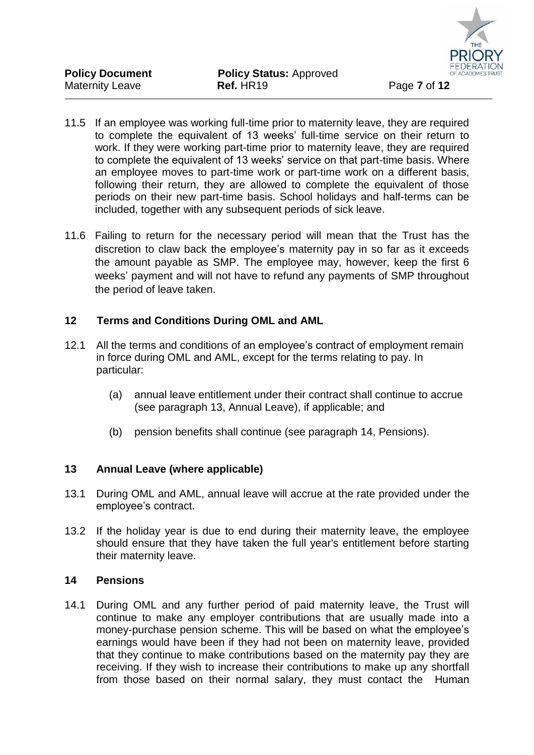

- 11.5 If an employee was working full-time prior to maternity leave, they are required to complete the equivalent of 13 weeks' full-time service on their return to work. If they were working part-time prior to maternity leave, they are required to complete the equivalent of 13 weeks' service on that part-time basis. Where an employee moves to part-time work or part-time work on a different basis, following their return, they are allowed to complete the equivalent of those periods on their new part-time basis. School holidays and half-terms can be included, together with any subsequent periods of sick leave.
- 11.6 Failing to return for the necessary period will mean that the Trust has the discretion to claw back the employee's maternity pay in so far as it exceeds the amount payable as SMP. The employee may, however, keep the first 6 weeks' payment and will not have to refund any payments of SMP throughout the period of leave taken.

# **12 Terms and Conditions During OML and AML**

- 12.1 All the terms and conditions of an employee's contract of employment remain in force during OML and AML, except for the terms relating to pay. In particular:
	- (a) annual leave entitlement under their contract shall continue to accrue (see paragraph [13,](#page-7-0) Annual Leave), if applicable; and
	- (b) pension benefits shall continue (see paragraph [14,](#page-7-1) Pensions).

# <span id="page-7-0"></span>**13 Annual Leave (where applicable)**

- 13.1 During OML and AML, annual leave will accrue at the rate provided under the employee's contract.
- 13.2 If the holiday year is due to end during their maternity leave, the employee should ensure that they have taken the full year's entitlement before starting their maternity leave.

#### <span id="page-7-1"></span>**14 Pensions**

14.1 During OML and any further period of paid maternity leave, the Trust will continue to make any employer contributions that are usually made into a money-purchase pension scheme. This will be based on what the employee's earnings would have been if they had not been on maternity leave, provided that they continue to make contributions based on the maternity pay they are receiving. If they wish to increase their contributions to make up any shortfall from those based on their normal salary, they must contact the Human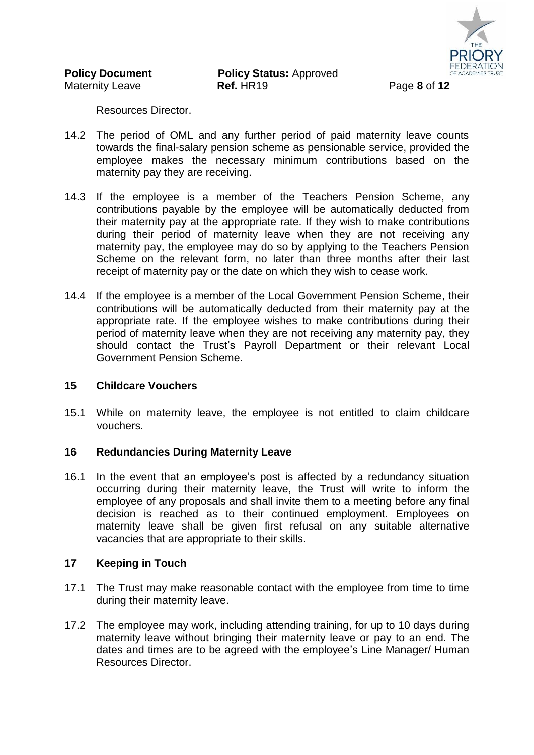Resources Director.

- 14.2 The period of OML and any further period of paid maternity leave counts towards the final-salary pension scheme as pensionable service, provided the employee makes the necessary minimum contributions based on the maternity pay they are receiving.
- 14.3 If the employee is a member of the Teachers Pension Scheme, any contributions payable by the employee will be automatically deducted from their maternity pay at the appropriate rate. If they wish to make contributions during their period of maternity leave when they are not receiving any maternity pay, the employee may do so by applying to the Teachers Pension Scheme on the relevant form, no later than three months after their last receipt of maternity pay or the date on which they wish to cease work.
- 14.4 If the employee is a member of the Local Government Pension Scheme, their contributions will be automatically deducted from their maternity pay at the appropriate rate. If the employee wishes to make contributions during their period of maternity leave when they are not receiving any maternity pay, they should contact the Trust's Payroll Department or their relevant Local Government Pension Scheme.

#### **15 Childcare Vouchers**

15.1 While on maternity leave, the employee is not entitled to claim childcare vouchers.

#### **16 Redundancies During Maternity Leave**

16.1 In the event that an employee's post is affected by a redundancy situation occurring during their maternity leave, the Trust will write to inform the employee of any proposals and shall invite them to a meeting before any final decision is reached as to their continued employment. Employees on maternity leave shall be given first refusal on any suitable alternative vacancies that are appropriate to their skills.

#### <span id="page-8-0"></span>**17 Keeping in Touch**

- 17.1 The Trust may make reasonable contact with the employee from time to time during their maternity leave.
- 17.2 The employee may work, including attending training, for up to 10 days during maternity leave without bringing their maternity leave or pay to an end. The dates and times are to be agreed with the employee's Line Manager/ Human Resources Director.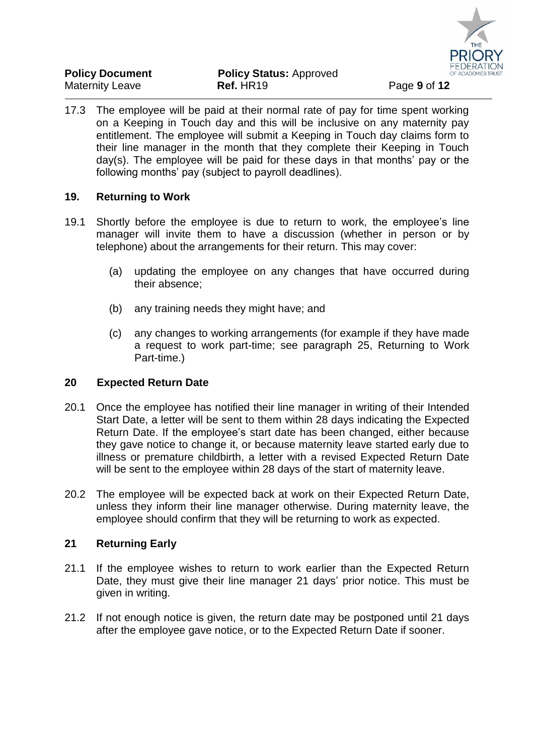

| <b>Policy Document</b> | <b>Policy Status: Approved</b> |              |
|------------------------|--------------------------------|--------------|
| <b>Maternity Leave</b> | Ref. HR19                      | Page 9 of 12 |

17.3 The employee will be paid at their normal rate of pay for time spent working on a Keeping in Touch day and this will be inclusive on any maternity pay entitlement. The employee will submit a Keeping in Touch day claims form to their line manager in the month that they complete their Keeping in Touch day(s). The employee will be paid for these days in that months' pay or the following months' pay (subject to payroll deadlines).

# **19. Returning to Work**

- 19.1 Shortly before the employee is due to return to work, the employee's line manager will invite them to have a discussion (whether in person or by telephone) about the arrangements for their return. This may cover:
	- (a) updating the employee on any changes that have occurred during their absence;
	- (b) any training needs they might have; and
	- (c) any changes to working arrangements (for example if they have made a request to work part-time; see paragraph [25,](#page-10-0) Returning to Work Part-time.)

#### **20 Expected Return Date**

- 20.1 Once the employee has notified their line manager in writing of their Intended Start Date, a letter will be sent to them within 28 days indicating the Expected Return Date. If the employee's start date has been changed, either because they gave notice to change it, or because maternity leave started early due to illness or premature childbirth, a letter with a revised Expected Return Date will be sent to the employee within 28 days of the start of maternity leave.
- 20.2 The employee will be expected back at work on their Expected Return Date, unless they inform their line manager otherwise. During maternity leave, the employee should confirm that they will be returning to work as expected.

# **21 Returning Early**

- 21.1 If the employee wishes to return to work earlier than the Expected Return Date, they must give their line manager 21 days' prior notice. This must be given in writing.
- 21.2 If not enough notice is given, the return date may be postponed until 21 days after the employee gave notice, or to the Expected Return Date if sooner.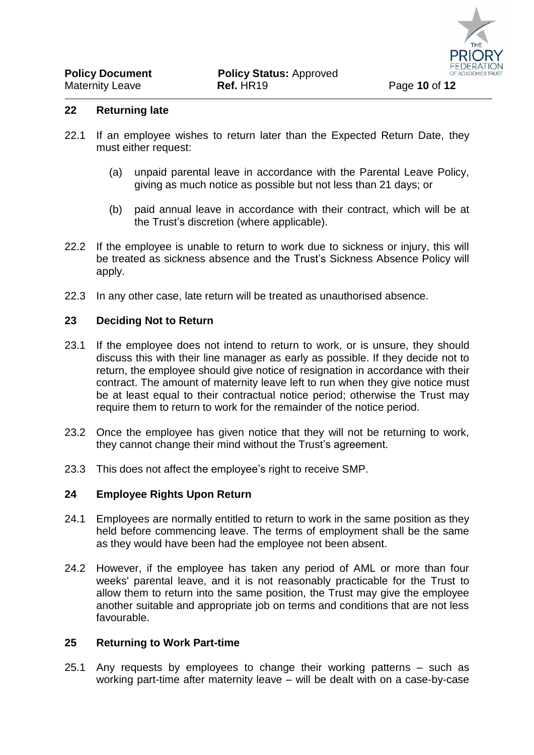- 22.1 If an employee wishes to return later than the Expected Return Date, they must either request:
	- (a) unpaid parental leave in accordance with the Parental Leave Policy, giving as much notice as possible but not less than 21 days; or
	- (b) paid annual leave in accordance with their contract, which will be at the Trust's discretion (where applicable).
- 22.2 If the employee is unable to return to work due to sickness or injury, this will be treated as sickness absence and the Trust's Sickness Absence Policy will apply.
- 22.3 In any other case, late return will be treated as unauthorised absence.

#### **23 Deciding Not to Return**

- 23.1 If the employee does not intend to return to work, or is unsure, they should discuss this with their line manager as early as possible. If they decide not to return, the employee should give notice of resignation in accordance with their contract. The amount of maternity leave left to run when they give notice must be at least equal to their contractual notice period; otherwise the Trust may require them to return to work for the remainder of the notice period.
- 23.2 Once the employee has given notice that they will not be returning to work, they cannot change their mind without the Trust's agreement.
- 23.3 This does not affect the employee's right to receive SMP.

#### **24 Employee Rights Upon Return**

- 24.1 Employees are normally entitled to return to work in the same position as they held before commencing leave. The terms of employment shall be the same as they would have been had the employee not been absent.
- 24.2 However, if the employee has taken any period of AML or more than four weeks' parental leave, and it is not reasonably practicable for the Trust to allow them to return into the same position, the Trust may give the employee another suitable and appropriate job on terms and conditions that are not less favourable.

#### <span id="page-10-0"></span>**25 Returning to Work Part-time**

25.1 Any requests by employees to change their working patterns – such as working part-time after maternity leave – will be dealt with on a case-by-case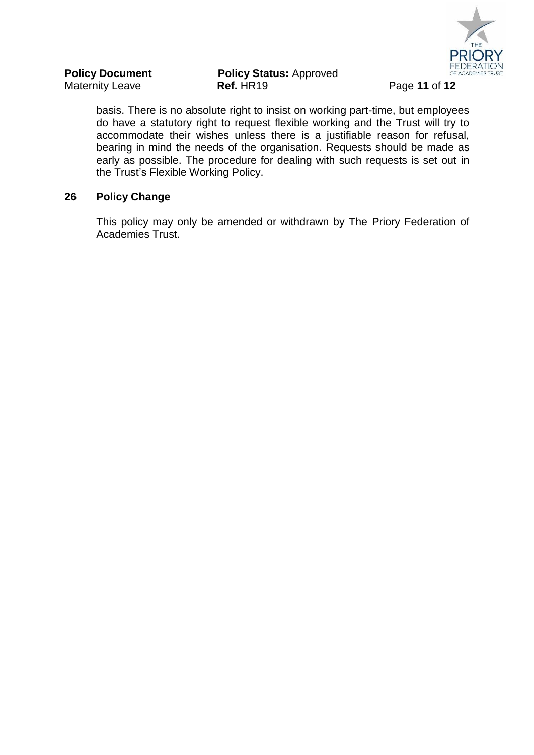

| <b>Policy Document</b> | <b>Policy Status: Approved</b> |
|------------------------|--------------------------------|
| Maternity Leave        | Ref. HR19                      |

basis. There is no absolute right to insist on working part-time, but employees do have a statutory right to request flexible working and the Trust will try to accommodate their wishes unless there is a justifiable reason for refusal, bearing in mind the needs of the organisation. Requests should be made as early as possible. The procedure for dealing with such requests is set out in the Trust's Flexible Working Policy.

# **26 Policy Change**

This policy may only be amended or withdrawn by The Priory Federation of Academies Trust.